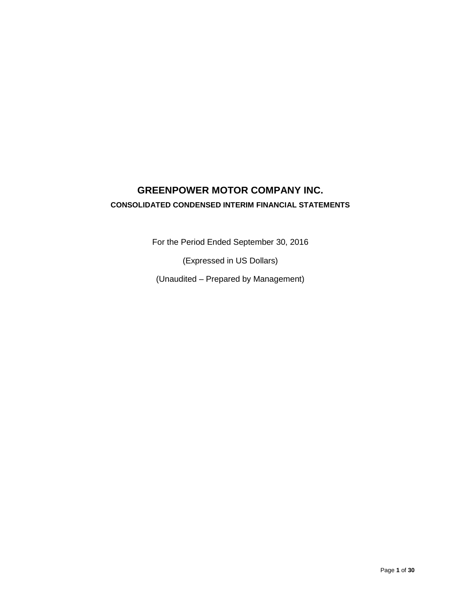# **GREENPOWER MOTOR COMPANY INC. CONSOLIDATED CONDENSED INTERIM FINANCIAL STATEMENTS**

For the Period Ended September 30, 2016

(Expressed in US Dollars)

(Unaudited – Prepared by Management)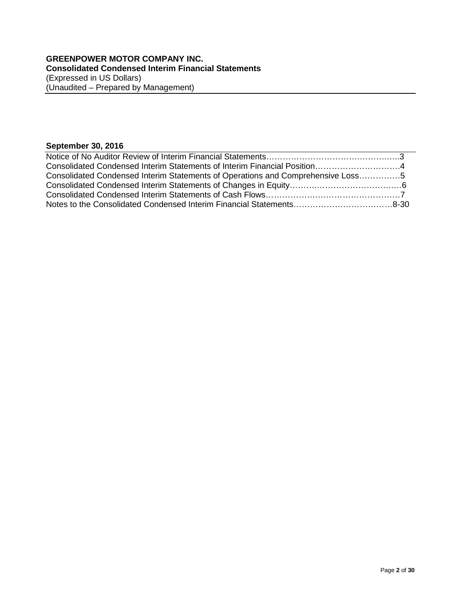# **September 30, 2016**

| Consolidated Condensed Interim Statements of Interim Financial Position4        |  |
|---------------------------------------------------------------------------------|--|
| Consolidated Condensed Interim Statements of Operations and Comprehensive Loss5 |  |
|                                                                                 |  |
|                                                                                 |  |
|                                                                                 |  |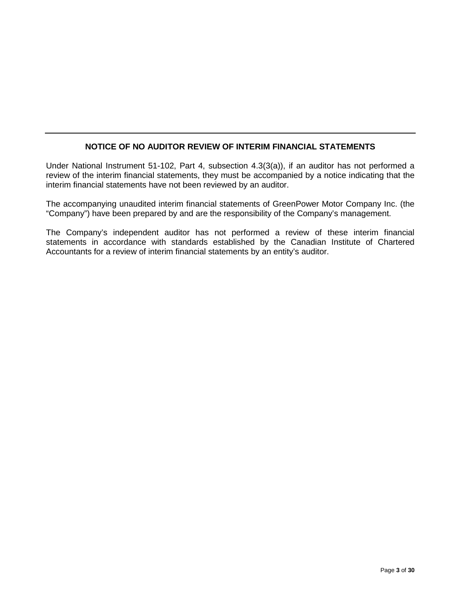# **NOTICE OF NO AUDITOR REVIEW OF INTERIM FINANCIAL STATEMENTS**

Under National Instrument 51-102, Part 4, subsection 4.3(3(a)), if an auditor has not performed a review of the interim financial statements, they must be accompanied by a notice indicating that the interim financial statements have not been reviewed by an auditor.

The accompanying unaudited interim financial statements of GreenPower Motor Company Inc. (the "Company") have been prepared by and are the responsibility of the Company's management.

The Company's independent auditor has not performed a review of these interim financial statements in accordance with standards established by the Canadian Institute of Chartered Accountants for a review of interim financial statements by an entity's auditor.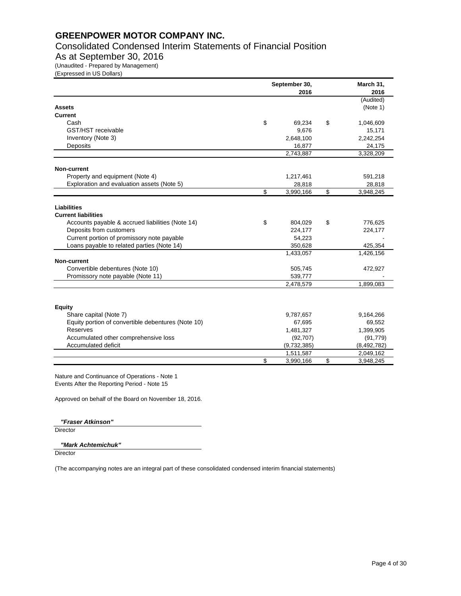Consolidated Condensed Interim Statements of Financial Position

# As at September 30, 2016

(Unaudited - Prepared by Management)

(Expressed in US Dollars)

|                                                    | September 30, | March 31,<br>2016 |    |             |
|----------------------------------------------------|---------------|-------------------|----|-------------|
|                                                    |               | 2016              |    | (Audited)   |
| <b>Assets</b>                                      |               |                   |    | (Note 1)    |
| <b>Current</b>                                     |               |                   |    |             |
| Cash                                               | \$            | 69,234            | \$ | 1,046,609   |
| GST/HST receivable                                 |               | 9,676             |    | 15,171      |
| Inventory (Note 3)                                 |               | 2,648,100         |    | 2,242,254   |
| Deposits                                           |               | 16,877            |    | 24,175      |
|                                                    |               | 2,743,887         |    | 3,328,209   |
| <b>Non-current</b>                                 |               |                   |    |             |
| Property and equipment (Note 4)                    |               | 1,217,461         |    | 591,218     |
| Exploration and evaluation assets (Note 5)         |               | 28,818            |    | 28,818      |
|                                                    | \$            | 3,990,166         | \$ | 3,948,245   |
| Liabilities                                        |               |                   |    |             |
| <b>Current liabilities</b>                         |               |                   |    |             |
| Accounts payable & accrued liabilities (Note 14)   | \$            | 804,029           | \$ | 776,625     |
| Deposits from customers                            |               | 224,177           |    | 224,177     |
| Current portion of promissory note payable         |               | 54,223            |    |             |
| Loans payable to related parties (Note 14)         |               | 350,628           |    | 425,354     |
|                                                    |               | 1,433,057         |    | 1,426,156   |
| Non-current                                        |               |                   |    |             |
| Convertible debentures (Note 10)                   |               | 505,745           |    | 472,927     |
| Promissory note payable (Note 11)                  |               | 539,777           |    |             |
|                                                    |               | 2,478,579         |    | 1,899,083   |
|                                                    |               |                   |    |             |
| <b>Equity</b>                                      |               |                   |    |             |
| Share capital (Note 7)                             |               | 9,787,657         |    | 9,164,266   |
| Equity portion of convertible debentures (Note 10) |               | 67,695            |    | 69,552      |
| Reserves                                           |               | 1,481,327         |    | 1,399,905   |
| Accumulated other comprehensive loss               |               | (92, 707)         |    | (91, 779)   |
| Accumulated deficit                                |               | (9,732,385)       |    | (8,492,782) |
|                                                    |               | 1,511,587         |    | 2,049,162   |
|                                                    | \$            | 3,990,166         | \$ | 3,948,245   |

Nature and Continuance of Operations - Note 1 Events After the Reporting Period - Note 15

Approved on behalf of the Board on November 18, 2016.

*"Fraser Atkinson"*

**Director** 

#### *"Mark Achtemichuk"*

**Director**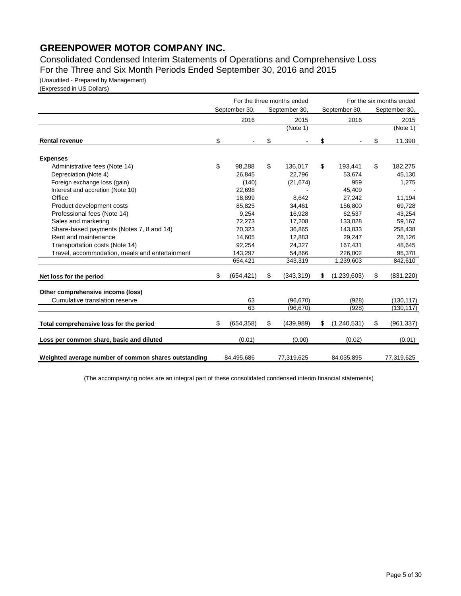Consolidated Condensed Interim Statements of Operations and Comprehensive Loss For the Three and Six Month Periods Ended September 30, 2016 and 2015

(Unaudited - Prepared by Management)

(Expressed in US Dollars)

|                                                      | For the three months ended |               |               |            |    | For the six months ended |    |               |  |  |
|------------------------------------------------------|----------------------------|---------------|---------------|------------|----|--------------------------|----|---------------|--|--|
|                                                      |                            | September 30, | September 30, |            |    | September 30,            |    | September 30, |  |  |
|                                                      |                            | 2016          |               | 2015       |    | 2016                     |    | 2015          |  |  |
|                                                      |                            |               |               | (Note 1)   |    |                          |    | (Note 1)      |  |  |
| <b>Rental revenue</b>                                | \$                         |               | \$            |            | \$ |                          | \$ | 11,390        |  |  |
| <b>Expenses</b>                                      |                            |               |               |            |    |                          |    |               |  |  |
| Administrative fees (Note 14)                        | \$                         | 98,288        | \$            | 136,017    | \$ | 193,441                  | \$ | 182,275       |  |  |
| Depreciation (Note 4)                                |                            | 26.845        |               | 22.796     |    | 53,674                   |    | 45,130        |  |  |
| Foreign exchange loss (gain)                         |                            | (140)         |               | (21, 674)  |    | 959                      |    | 1,275         |  |  |
| Interest and accretion (Note 10)                     |                            | 22,698        |               |            |    | 45,409                   |    |               |  |  |
| Office                                               |                            | 18,899        |               | 8,642      |    | 27,242                   |    | 11,194        |  |  |
| Product development costs                            |                            | 85,825        |               | 34,461     |    | 156,800                  |    | 69,728        |  |  |
| Professional fees (Note 14)                          |                            | 9,254         |               | 16,928     |    | 62,537                   |    | 43,254        |  |  |
| Sales and marketing                                  |                            | 72,273        |               | 17,208     |    | 133,028                  |    | 59,167        |  |  |
| Share-based payments (Notes 7, 8 and 14)             |                            | 70,323        |               | 36,865     |    | 143,833                  |    | 258,438       |  |  |
| Rent and maintenance                                 |                            | 14,605        |               | 12,883     |    | 29,247                   |    | 28,126        |  |  |
| Transportation costs (Note 14)                       |                            | 92,254        |               | 24,327     |    | 167,431                  |    | 48,645        |  |  |
| Travel, accommodation, meals and entertainment       |                            | 143,297       |               | 54,866     |    | 226,002                  |    | 95,378        |  |  |
|                                                      |                            | 654,421       |               | 343,319    |    | 1,239,603                |    | 842,610       |  |  |
| Net loss for the period                              | \$                         | (654, 421)    | \$            | (343, 319) | \$ | (1,239,603)              | \$ | (831, 220)    |  |  |
| Other comprehensive income (loss)                    |                            |               |               |            |    |                          |    |               |  |  |
| Cumulative translation reserve                       |                            | 63            |               | (96, 670)  |    | (928)                    |    | (130, 117)    |  |  |
|                                                      |                            | 63            |               | (96, 670)  |    | (928)                    |    | (130, 117)    |  |  |
| Total comprehensive loss for the period              | \$                         | (654, 358)    | \$            | (439, 989) | \$ | (1,240,531)              | \$ | (961, 337)    |  |  |
| Loss per common share, basic and diluted             |                            | (0.01)        |               | (0.00)     |    | (0.02)                   |    | (0.01)        |  |  |
| Weighted average number of common shares outstanding |                            | 84,495,686    |               | 77,319,625 |    | 84,035,895               |    | 77,319,625    |  |  |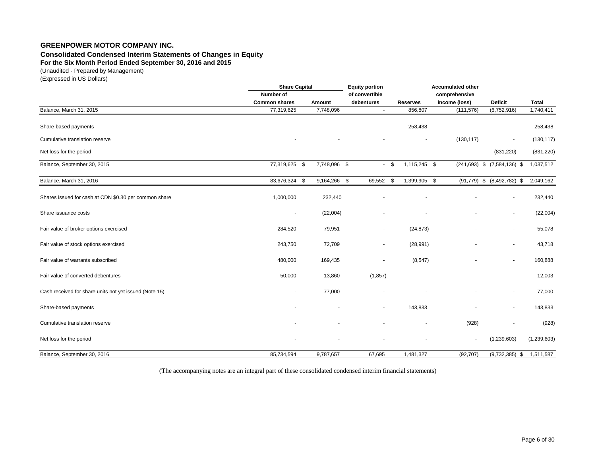# **Consolidated Condensed Interim Statements of Changes in Equity**

**For the Six Month Period Ended September 30, 2016 and 2015**

(Unaudited - Prepared by Management)

(Expressed in US Dollars)

|                                                        | <b>Share Capital</b>     |                | <b>Equity portion</b>    |                      | <b>Accumulated other</b> |                                    |              |  |  |  |  |
|--------------------------------------------------------|--------------------------|----------------|--------------------------|----------------------|--------------------------|------------------------------------|--------------|--|--|--|--|
|                                                        | Number of                | of convertible |                          |                      | comprehensive            |                                    |              |  |  |  |  |
|                                                        | <b>Common shares</b>     | Amount         | debentures               | <b>Reserves</b>      | income (loss)            | <b>Deficit</b>                     | <b>Total</b> |  |  |  |  |
| Balance, March 31, 2015                                | 77,319,625               | 7,748,096      |                          | 856,807              | (111, 576)               | (6,752,916)                        | 1,740,411    |  |  |  |  |
| Share-based payments                                   |                          |                |                          | 258,438              |                          |                                    | 258,438      |  |  |  |  |
| Cumulative translation reserve                         |                          |                |                          |                      | (130, 117)               | $\overline{\phantom{a}}$           | (130, 117)   |  |  |  |  |
| Net loss for the period                                |                          |                |                          |                      | $\overline{\phantom{a}}$ | (831, 220)                         | (831, 220)   |  |  |  |  |
| Balance, September 30, 2015                            | 77,319,625 \$            | 7,748,096 \$   |                          | $-5$<br>1,115,245 \$ |                          | $(241, 693)$ \$ $(7, 584, 136)$ \$ | 1,037,512    |  |  |  |  |
| Balance, March 31, 2016                                | 83,676,324 \$            | 9,164,266 \$   | 69,552 \$                | 1,399,905 \$         |                          | $(91,779)$ \$ $(8,492,782)$ \$     | 2,049,162    |  |  |  |  |
| Shares issued for cash at CDN \$0.30 per common share  | 1,000,000                | 232,440        |                          |                      |                          |                                    | 232,440      |  |  |  |  |
| Share issuance costs                                   | $\overline{\phantom{a}}$ | (22,004)       |                          |                      |                          | $\blacksquare$                     | (22,004)     |  |  |  |  |
| Fair value of broker options exercised                 | 284,520                  | 79,951         | $\overline{\phantom{a}}$ | (24, 873)            |                          |                                    | 55,078       |  |  |  |  |
| Fair value of stock options exercised                  | 243,750                  | 72,709         |                          | (28, 991)            |                          |                                    | 43,718       |  |  |  |  |
| Fair value of warrants subscribed                      | 480,000                  | 169,435        |                          | (8, 547)             |                          |                                    | 160,888      |  |  |  |  |
| Fair value of converted debentures                     | 50,000                   | 13,860         | (1, 857)                 |                      |                          | $\sim$                             | 12,003       |  |  |  |  |
| Cash received for share units not yet issued (Note 15) |                          | 77,000         |                          |                      |                          |                                    | 77,000       |  |  |  |  |
| Share-based payments                                   |                          |                |                          | 143,833              |                          |                                    | 143,833      |  |  |  |  |
| Cumulative translation reserve                         |                          |                |                          |                      | (928)                    |                                    | (928)        |  |  |  |  |
| Net loss for the period                                |                          |                |                          |                      |                          | (1,239,603)                        | (1,239,603)  |  |  |  |  |
| Balance, September 30, 2016                            | 85,734,594               | 9,787,657      | 67,695                   | 1,481,327            | (92, 707)                | $(9,732,385)$ \$                   | 1,511,587    |  |  |  |  |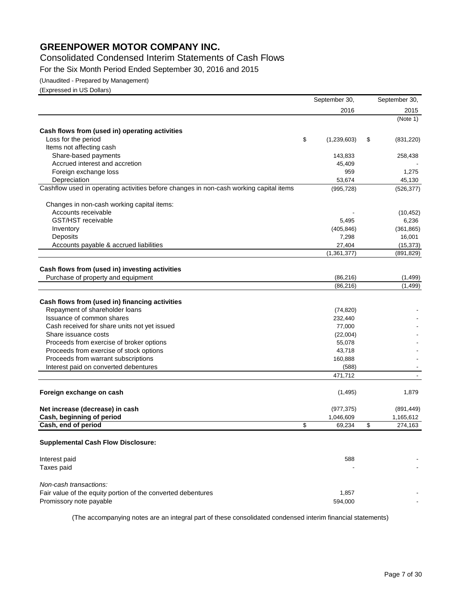# Consolidated Condensed Interim Statements of Cash Flows

For the Six Month Period Ended September 30, 2016 and 2015

(Unaudited - Prepared by Management)

(Expressed in US Dollars)

|                                                                                        | September 30,     | September 30,    |
|----------------------------------------------------------------------------------------|-------------------|------------------|
|                                                                                        | 2016              | 2015             |
|                                                                                        |                   | (Note 1)         |
| Cash flows from (used in) operating activities                                         |                   |                  |
| Loss for the period                                                                    | \$<br>(1,239,603) | \$<br>(831, 220) |
| Items not affecting cash                                                               |                   |                  |
| Share-based payments                                                                   | 143,833           | 258,438          |
| Accrued interest and accretion                                                         | 45,409            |                  |
| Foreign exchange loss                                                                  | 959               | 1,275            |
| Depreciation                                                                           | 53,674            | 45,130           |
| Cashflow used in operating activities before changes in non-cash working capital items | (995, 728)        | (526, 377)       |
| Changes in non-cash working capital items:                                             |                   |                  |
| Accounts receivable                                                                    |                   | (10, 452)        |
| <b>GST/HST</b> receivable                                                              | 5,495             | 6,236            |
|                                                                                        |                   |                  |
| Inventory                                                                              | (405, 846)        | (361, 865)       |
| Deposits                                                                               | 7,298             | 16,001           |
| Accounts payable & accrued liabilities                                                 | 27,404            | (15, 373)        |
|                                                                                        | (1, 361, 377)     | (891, 829)       |
| Cash flows from (used in) investing activities                                         |                   |                  |
| Purchase of property and equipment                                                     | (86, 216)         | (1,499)          |
|                                                                                        | (86, 216)         | (1, 499)         |
|                                                                                        |                   |                  |
| Cash flows from (used in) financing activities                                         |                   |                  |
| Repayment of shareholder loans                                                         | (74, 820)         |                  |
| Issuance of common shares                                                              | 232,440           |                  |
| Cash received for share units not yet issued                                           | 77,000            |                  |
| Share issuance costs                                                                   | (22,004)          |                  |
| Proceeds from exercise of broker options                                               | 55,078            |                  |
| Proceeds from exercise of stock options                                                | 43,718            |                  |
| Proceeds from warrant subscriptions                                                    | 160,888           |                  |
| Interest paid on converted debentures                                                  | (588)             |                  |
|                                                                                        | 471,712           |                  |
|                                                                                        |                   |                  |
| Foreign exchange on cash                                                               | (1, 495)          | 1,879            |
| Net increase (decrease) in cash                                                        | (977, 375)        | (891, 449)       |
| Cash, beginning of period                                                              | 1,046,609         | 1,165,612        |
| Cash, end of period                                                                    | \$<br>69,234      | \$<br>274,163    |
| <b>Supplemental Cash Flow Disclosure:</b>                                              |                   |                  |
|                                                                                        |                   |                  |
| Interest paid                                                                          | 588               |                  |
| Taxes paid                                                                             |                   |                  |
| Non-cash transactions:                                                                 |                   |                  |
| Fair value of the equity portion of the converted debentures                           | 1,857             |                  |
| Promissory note payable                                                                | 594,000           |                  |
|                                                                                        |                   |                  |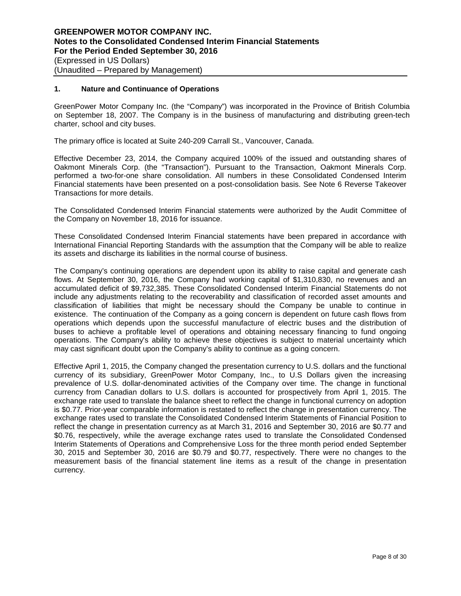#### **1. Nature and Continuance of Operations**

GreenPower Motor Company Inc. (the "Company") was incorporated in the Province of British Columbia on September 18, 2007. The Company is in the business of manufacturing and distributing green-tech charter, school and city buses.

The primary office is located at Suite 240-209 Carrall St., Vancouver, Canada.

Effective December 23, 2014, the Company acquired 100% of the issued and outstanding shares of Oakmont Minerals Corp. (the "Transaction"). Pursuant to the Transaction, Oakmont Minerals Corp. performed a two-for-one share consolidation. All numbers in these Consolidated Condensed Interim Financial statements have been presented on a post-consolidation basis. See Note 6 Reverse Takeover Transactions for more details.

The Consolidated Condensed Interim Financial statements were authorized by the Audit Committee of the Company on November 18, 2016 for issuance.

These Consolidated Condensed Interim Financial statements have been prepared in accordance with International Financial Reporting Standards with the assumption that the Company will be able to realize its assets and discharge its liabilities in the normal course of business.

The Company's continuing operations are dependent upon its ability to raise capital and generate cash flows. At September 30, 2016, the Company had working capital of \$1,310,830, no revenues and an accumulated deficit of \$9,732,385. These Consolidated Condensed Interim Financial Statements do not include any adjustments relating to the recoverability and classification of recorded asset amounts and classification of liabilities that might be necessary should the Company be unable to continue in existence. The continuation of the Company as a going concern is dependent on future cash flows from operations which depends upon the successful manufacture of electric buses and the distribution of buses to achieve a profitable level of operations and obtaining necessary financing to fund ongoing operations. The Company's ability to achieve these objectives is subject to material uncertainty which may cast significant doubt upon the Company's ability to continue as a going concern.

Effective April 1, 2015, the Company changed the presentation currency to U.S. dollars and the functional currency of its subsidiary, GreenPower Motor Company, Inc., to U.S Dollars given the increasing prevalence of U.S. dollar-denominated activities of the Company over time. The change in functional currency from Canadian dollars to U.S. dollars is accounted for prospectively from April 1, 2015. The exchange rate used to translate the balance sheet to reflect the change in functional currency on adoption is \$0.77. Prior-year comparable information is restated to reflect the change in presentation currency. The exchange rates used to translate the Consolidated Condensed Interim Statements of Financial Position to reflect the change in presentation currency as at March 31, 2016 and September 30, 2016 are \$0.77 and \$0.76, respectively, while the average exchange rates used to translate the Consolidated Condensed Interim Statements of Operations and Comprehensive Loss for the three month period ended September 30, 2015 and September 30, 2016 are \$0.79 and \$0.77, respectively. There were no changes to the measurement basis of the financial statement line items as a result of the change in presentation currency.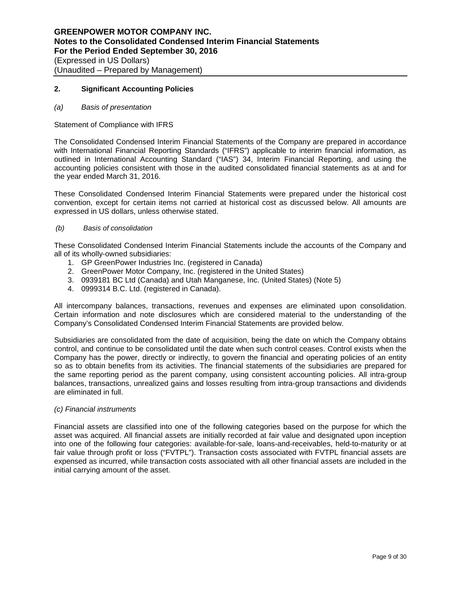## **2. Significant Accounting Policies**

#### *(a) Basis of presentation*

Statement of Compliance with IFRS

The Consolidated Condensed Interim Financial Statements of the Company are prepared in accordance with International Financial Reporting Standards ("IFRS") applicable to interim financial information, as outlined in International Accounting Standard ("IAS") 34, Interim Financial Reporting, and using the accounting policies consistent with those in the audited consolidated financial statements as at and for the year ended March 31, 2016.

These Consolidated Condensed Interim Financial Statements were prepared under the historical cost convention, except for certain items not carried at historical cost as discussed below. All amounts are expressed in US dollars, unless otherwise stated.

#### *(b) Basis of consolidation*

These Consolidated Condensed Interim Financial Statements include the accounts of the Company and all of its wholly-owned subsidiaries:

- 1. GP GreenPower Industries Inc. (registered in Canada)
- 2. GreenPower Motor Company, Inc. (registered in the United States)
- 3. 0939181 BC Ltd (Canada) and Utah Manganese, Inc. (United States) (Note 5)
- 4. 0999314 B.C. Ltd. (registered in Canada).

All intercompany balances, transactions, revenues and expenses are eliminated upon consolidation. Certain information and note disclosures which are considered material to the understanding of the Company's Consolidated Condensed Interim Financial Statements are provided below.

Subsidiaries are consolidated from the date of acquisition, being the date on which the Company obtains control, and continue to be consolidated until the date when such control ceases. Control exists when the Company has the power, directly or indirectly, to govern the financial and operating policies of an entity so as to obtain benefits from its activities. The financial statements of the subsidiaries are prepared for the same reporting period as the parent company, using consistent accounting policies. All intra-group balances, transactions, unrealized gains and losses resulting from intra-group transactions and dividends are eliminated in full.

#### *(c) Financial instruments*

Financial assets are classified into one of the following categories based on the purpose for which the asset was acquired. All financial assets are initially recorded at fair value and designated upon inception into one of the following four categories: available-for-sale, loans-and-receivables, held-to-maturity or at fair value through profit or loss ("FVTPL"). Transaction costs associated with FVTPL financial assets are expensed as incurred, while transaction costs associated with all other financial assets are included in the initial carrying amount of the asset.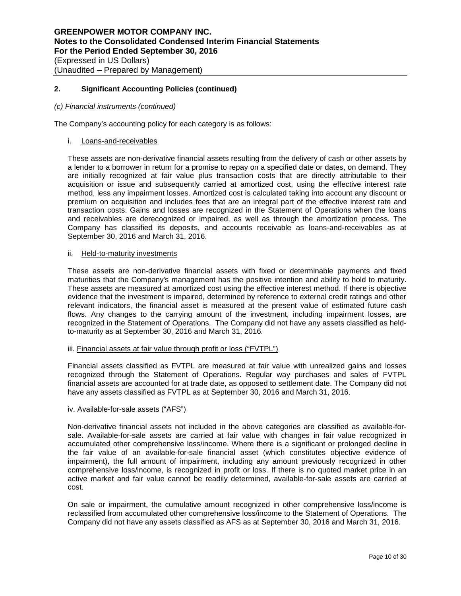#### *(c) Financial instruments (continued)*

The Company's accounting policy for each category is as follows:

#### i. Loans-and-receivables

These assets are non-derivative financial assets resulting from the delivery of cash or other assets by a lender to a borrower in return for a promise to repay on a specified date or dates, on demand. They are initially recognized at fair value plus transaction costs that are directly attributable to their acquisition or issue and subsequently carried at amortized cost, using the effective interest rate method, less any impairment losses. Amortized cost is calculated taking into account any discount or premium on acquisition and includes fees that are an integral part of the effective interest rate and transaction costs. Gains and losses are recognized in the Statement of Operations when the loans and receivables are derecognized or impaired, as well as through the amortization process. The Company has classified its deposits, and accounts receivable as loans-and-receivables as at September 30, 2016 and March 31, 2016.

#### ii. Held-to-maturity investments

These assets are non-derivative financial assets with fixed or determinable payments and fixed maturities that the Company's management has the positive intention and ability to hold to maturity. These assets are measured at amortized cost using the effective interest method. If there is objective evidence that the investment is impaired, determined by reference to external credit ratings and other relevant indicators, the financial asset is measured at the present value of estimated future cash flows. Any changes to the carrying amount of the investment, including impairment losses, are recognized in the Statement of Operations. The Company did not have any assets classified as heldto-maturity as at September 30, 2016 and March 31, 2016.

#### iii. Financial assets at fair value through profit or loss ("FVTPL")

Financial assets classified as FVTPL are measured at fair value with unrealized gains and losses recognized through the Statement of Operations. Regular way purchases and sales of FVTPL financial assets are accounted for at trade date, as opposed to settlement date. The Company did not have any assets classified as FVTPL as at September 30, 2016 and March 31, 2016.

#### iv. Available-for-sale assets ("AFS")

Non-derivative financial assets not included in the above categories are classified as available-forsale. Available-for-sale assets are carried at fair value with changes in fair value recognized in accumulated other comprehensive loss/income. Where there is a significant or prolonged decline in the fair value of an available-for-sale financial asset (which constitutes objective evidence of impairment), the full amount of impairment, including any amount previously recognized in other comprehensive loss/income, is recognized in profit or loss. If there is no quoted market price in an active market and fair value cannot be readily determined, available-for-sale assets are carried at cost.

On sale or impairment, the cumulative amount recognized in other comprehensive loss/income is reclassified from accumulated other comprehensive loss/income to the Statement of Operations. The Company did not have any assets classified as AFS as at September 30, 2016 and March 31, 2016.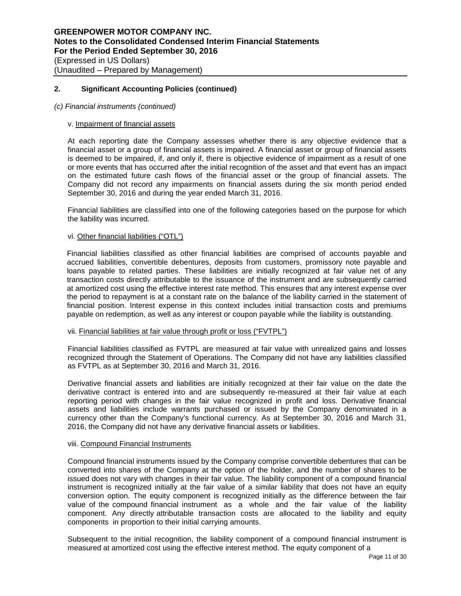#### *(c) Financial instruments (continued)*

#### v. Impairment of financial assets

At each reporting date the Company assesses whether there is any objective evidence that a financial asset or a group of financial assets is impaired. A financial asset or group of financial assets is deemed to be impaired, if, and only if, there is objective evidence of impairment as a result of one or more events that has occurred after the initial recognition of the asset and that event has an impact on the estimated future cash flows of the financial asset or the group of financial assets. The Company did not record any impairments on financial assets during the six month period ended September 30, 2016 and during the year ended March 31, 2016.

Financial liabilities are classified into one of the following categories based on the purpose for which the liability was incurred.

#### vi. Other financial liabilities ("OTL")

Financial liabilities classified as other financial liabilities are comprised of accounts payable and accrued liabilities, convertible debentures, deposits from customers, promissory note payable and loans payable to related parties. These liabilities are initially recognized at fair value net of any transaction costs directly attributable to the issuance of the instrument and are subsequently carried at amortized cost using the effective interest rate method. This ensures that any interest expense over the period to repayment is at a constant rate on the balance of the liability carried in the statement of financial position. Interest expense in this context includes initial transaction costs and premiums payable on redemption, as well as any interest or coupon payable while the liability is outstanding.

#### vii. Financial liabilities at fair value through profit or loss ("FVTPL")

Financial liabilities classified as FVTPL are measured at fair value with unrealized gains and losses recognized through the Statement of Operations. The Company did not have any liabilities classified as FVTPL as at September 30, 2016 and March 31, 2016.

Derivative financial assets and liabilities are initially recognized at their fair value on the date the derivative contract is entered into and are subsequently re-measured at their fair value at each reporting period with changes in the fair value recognized in profit and loss. Derivative financial assets and liabilities include warrants purchased or issued by the Company denominated in a currency other than the Company's functional currency. As at September 30, 2016 and March 31, 2016, the Company did not have any derivative financial assets or liabilities.

#### viii. Compound Financial Instruments

Compound financial instruments issued by the Company comprise convertible debentures that can be converted into shares of the Company at the option of the holder, and the number of shares to be issued does not vary with changes in their fair value. The liability component of a compound financial instrument is recognized initially at the fair value of a similar liability that does not have an equity conversion option. The equity component is recognized initially as the difference between the fair value of the compound financial instrument as a whole and the fair value of the liability component. Any directly attributable transaction costs are allocated to the liability and equity components in proportion to their initial carrying amounts.

Subsequent to the initial recognition, the liability component of a compound financial instrument is measured at amortized cost using the effective interest method. The equity component of a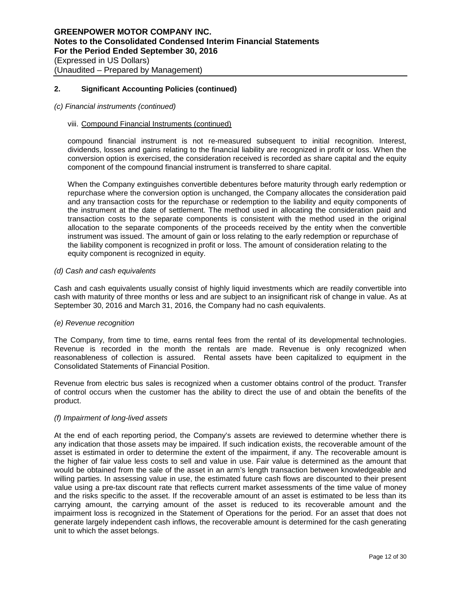#### *(c) Financial instruments (continued)*

#### viii. Compound Financial Instruments (continued)

compound financial instrument is not re-measured subsequent to initial recognition. Interest, dividends, losses and gains relating to the financial liability are recognized in profit or loss. When the conversion option is exercised, the consideration received is recorded as share capital and the equity component of the compound financial instrument is transferred to share capital.

When the Company extinguishes convertible debentures before maturity through early redemption or repurchase where the conversion option is unchanged, the Company allocates the consideration paid and any transaction costs for the repurchase or redemption to the liability and equity components of the instrument at the date of settlement. The method used in allocating the consideration paid and transaction costs to the separate components is consistent with the method used in the original allocation to the separate components of the proceeds received by the entity when the convertible instrument was issued. The amount of gain or loss relating to the early redemption or repurchase of the liability component is recognized in profit or loss. The amount of consideration relating to the equity component is recognized in equity.

#### *(d) Cash and cash equivalents*

Cash and cash equivalents usually consist of highly liquid investments which are readily convertible into cash with maturity of three months or less and are subject to an insignificant risk of change in value. As at September 30, 2016 and March 31, 2016, the Company had no cash equivalents.

#### *(e) Revenue recognition*

The Company, from time to time, earns rental fees from the rental of its developmental technologies. Revenue is recorded in the month the rentals are made. Revenue is only recognized when reasonableness of collection is assured. Rental assets have been capitalized to equipment in the Consolidated Statements of Financial Position.

Revenue from electric bus sales is recognized when a customer obtains control of the product. Transfer of control occurs when the customer has the ability to direct the use of and obtain the benefits of the product.

# *(f) Impairment of long-lived assets*

At the end of each reporting period, the Company's assets are reviewed to determine whether there is any indication that those assets may be impaired. If such indication exists, the recoverable amount of the asset is estimated in order to determine the extent of the impairment, if any. The recoverable amount is the higher of fair value less costs to sell and value in use. Fair value is determined as the amount that would be obtained from the sale of the asset in an arm's length transaction between knowledgeable and willing parties. In assessing value in use, the estimated future cash flows are discounted to their present value using a pre-tax discount rate that reflects current market assessments of the time value of money and the risks specific to the asset. If the recoverable amount of an asset is estimated to be less than its carrying amount, the carrying amount of the asset is reduced to its recoverable amount and the impairment loss is recognized in the Statement of Operations for the period. For an asset that does not generate largely independent cash inflows, the recoverable amount is determined for the cash generating unit to which the asset belongs.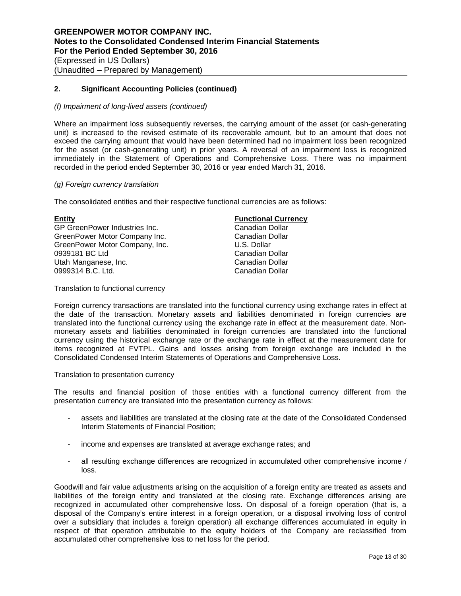#### *(f) Impairment of long-lived assets (continued)*

Where an impairment loss subsequently reverses, the carrying amount of the asset (or cash-generating unit) is increased to the revised estimate of its recoverable amount, but to an amount that does not exceed the carrying amount that would have been determined had no impairment loss been recognized for the asset (or cash-generating unit) in prior years. A reversal of an impairment loss is recognized immediately in the Statement of Operations and Comprehensive Loss. There was no impairment recorded in the period ended September 30, 2016 or year ended March 31, 2016.

## *(g) Foreign currency translation*

The consolidated entities and their respective functional currencies are as follows:

| Entity                         | <b>Functional Currency</b> |
|--------------------------------|----------------------------|
| GP GreenPower Industries Inc.  | Canadian Dollar            |
| GreenPower Motor Company Inc.  | Canadian Dollar            |
| GreenPower Motor Company, Inc. | U.S. Dollar                |
| 0939181 BC Ltd                 | Canadian Dollar            |
| Utah Manganese, Inc.           | Canadian Dollar            |
| 0999314 B.C. Ltd.              | Canadian Dollar            |
|                                |                            |

Translation to functional currency

Foreign currency transactions are translated into the functional currency using exchange rates in effect at the date of the transaction. Monetary assets and liabilities denominated in foreign currencies are translated into the functional currency using the exchange rate in effect at the measurement date. Nonmonetary assets and liabilities denominated in foreign currencies are translated into the functional currency using the historical exchange rate or the exchange rate in effect at the measurement date for items recognized at FVTPL. Gains and losses arising from foreign exchange are included in the Consolidated Condensed Interim Statements of Operations and Comprehensive Loss.

#### Translation to presentation currency

The results and financial position of those entities with a functional currency different from the presentation currency are translated into the presentation currency as follows:

- assets and liabilities are translated at the closing rate at the date of the Consolidated Condensed Interim Statements of Financial Position;
- income and expenses are translated at average exchange rates; and
- all resulting exchange differences are recognized in accumulated other comprehensive income / loss.

Goodwill and fair value adjustments arising on the acquisition of a foreign entity are treated as assets and liabilities of the foreign entity and translated at the closing rate. Exchange differences arising are recognized in accumulated other comprehensive loss. On disposal of a foreign operation (that is, a disposal of the Company's entire interest in a foreign operation, or a disposal involving loss of control over a subsidiary that includes a foreign operation) all exchange differences accumulated in equity in respect of that operation attributable to the equity holders of the Company are reclassified from accumulated other comprehensive loss to net loss for the period.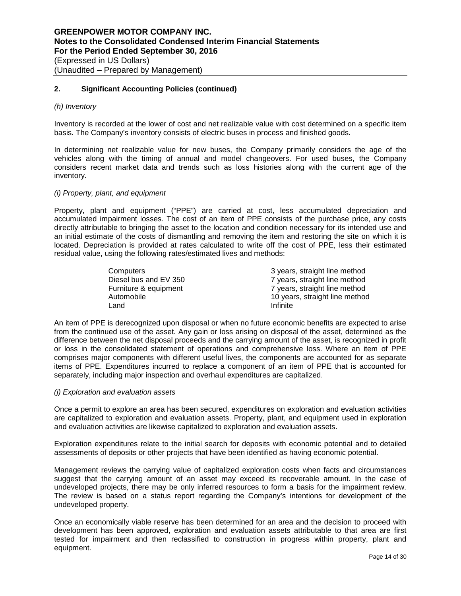#### *(h) Inventory*

Inventory is recorded at the lower of cost and net realizable value with cost determined on a specific item basis. The Company's inventory consists of electric buses in process and finished goods.

In determining net realizable value for new buses, the Company primarily considers the age of the vehicles along with the timing of annual and model changeovers. For used buses, the Company considers recent market data and trends such as loss histories along with the current age of the inventory.

#### *(i) Property, plant, and equipment*

Property, plant and equipment ("PPE") are carried at cost, less accumulated depreciation and accumulated impairment losses. The cost of an item of PPE consists of the purchase price, any costs directly attributable to bringing the asset to the location and condition necessary for its intended use and an initial estimate of the costs of dismantling and removing the item and restoring the site on which it is located. Depreciation is provided at rates calculated to write off the cost of PPE, less their estimated residual value, using the following rates/estimated lives and methods:

| Computers             | 3 years, straight line method  |
|-----------------------|--------------------------------|
| Diesel bus and EV 350 | 7 years, straight line method  |
| Furniture & equipment | 7 years, straight line method  |
| Automobile            | 10 years, straight line method |
| Land                  | Infinite                       |

An item of PPE is derecognized upon disposal or when no future economic benefits are expected to arise from the continued use of the asset. Any gain or loss arising on disposal of the asset, determined as the difference between the net disposal proceeds and the carrying amount of the asset, is recognized in profit or loss in the consolidated statement of operations and comprehensive loss. Where an item of PPE comprises major components with different useful lives, the components are accounted for as separate items of PPE. Expenditures incurred to replace a component of an item of PPE that is accounted for separately, including major inspection and overhaul expenditures are capitalized.

#### *(j) Exploration and evaluation assets*

Once a permit to explore an area has been secured, expenditures on exploration and evaluation activities are capitalized to exploration and evaluation assets. Property, plant, and equipment used in exploration and evaluation activities are likewise capitalized to exploration and evaluation assets.

Exploration expenditures relate to the initial search for deposits with economic potential and to detailed assessments of deposits or other projects that have been identified as having economic potential.

Management reviews the carrying value of capitalized exploration costs when facts and circumstances suggest that the carrying amount of an asset may exceed its recoverable amount. In the case of undeveloped projects, there may be only inferred resources to form a basis for the impairment review. The review is based on a status report regarding the Company's intentions for development of the undeveloped property.

Once an economically viable reserve has been determined for an area and the decision to proceed with development has been approved, exploration and evaluation assets attributable to that area are first tested for impairment and then reclassified to construction in progress within property, plant and equipment.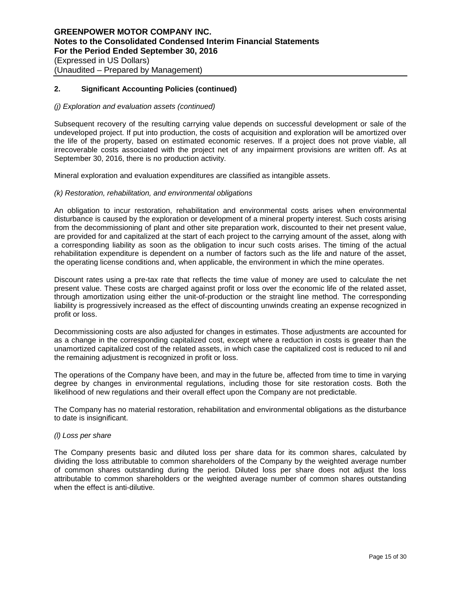#### *(j) Exploration and evaluation assets (continued)*

Subsequent recovery of the resulting carrying value depends on successful development or sale of the undeveloped project. If put into production, the costs of acquisition and exploration will be amortized over the life of the property, based on estimated economic reserves. If a project does not prove viable, all irrecoverable costs associated with the project net of any impairment provisions are written off. As at September 30, 2016, there is no production activity.

Mineral exploration and evaluation expenditures are classified as intangible assets.

#### *(k) Restoration, rehabilitation, and environmental obligations*

An obligation to incur restoration, rehabilitation and environmental costs arises when environmental disturbance is caused by the exploration or development of a mineral property interest. Such costs arising from the decommissioning of plant and other site preparation work, discounted to their net present value, are provided for and capitalized at the start of each project to the carrying amount of the asset, along with a corresponding liability as soon as the obligation to incur such costs arises. The timing of the actual rehabilitation expenditure is dependent on a number of factors such as the life and nature of the asset, the operating license conditions and, when applicable, the environment in which the mine operates.

Discount rates using a pre-tax rate that reflects the time value of money are used to calculate the net present value. These costs are charged against profit or loss over the economic life of the related asset, through amortization using either the unit-of-production or the straight line method. The corresponding liability is progressively increased as the effect of discounting unwinds creating an expense recognized in profit or loss.

Decommissioning costs are also adjusted for changes in estimates. Those adjustments are accounted for as a change in the corresponding capitalized cost, except where a reduction in costs is greater than the unamortized capitalized cost of the related assets, in which case the capitalized cost is reduced to nil and the remaining adjustment is recognized in profit or loss.

The operations of the Company have been, and may in the future be, affected from time to time in varying degree by changes in environmental regulations, including those for site restoration costs. Both the likelihood of new regulations and their overall effect upon the Company are not predictable.

The Company has no material restoration, rehabilitation and environmental obligations as the disturbance to date is insignificant.

#### *(l) Loss per share*

The Company presents basic and diluted loss per share data for its common shares, calculated by dividing the loss attributable to common shareholders of the Company by the weighted average number of common shares outstanding during the period. Diluted loss per share does not adjust the loss attributable to common shareholders or the weighted average number of common shares outstanding when the effect is anti-dilutive.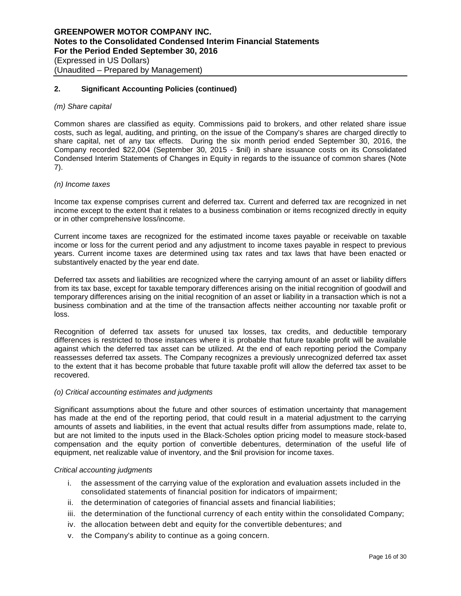#### *(m) Share capital*

Common shares are classified as equity. Commissions paid to brokers, and other related share issue costs, such as legal, auditing, and printing, on the issue of the Company's shares are charged directly to share capital, net of any tax effects. During the six month period ended September 30, 2016, the Company recorded \$22,004 (September 30, 2015 - \$nil) in share issuance costs on its Consolidated Condensed Interim Statements of Changes in Equity in regards to the issuance of common shares (Note 7).

#### *(n) Income taxes*

Income tax expense comprises current and deferred tax. Current and deferred tax are recognized in net income except to the extent that it relates to a business combination or items recognized directly in equity or in other comprehensive loss/income.

Current income taxes are recognized for the estimated income taxes payable or receivable on taxable income or loss for the current period and any adjustment to income taxes payable in respect to previous years. Current income taxes are determined using tax rates and tax laws that have been enacted or substantively enacted by the year end date.

Deferred tax assets and liabilities are recognized where the carrying amount of an asset or liability differs from its tax base, except for taxable temporary differences arising on the initial recognition of goodwill and temporary differences arising on the initial recognition of an asset or liability in a transaction which is not a business combination and at the time of the transaction affects neither accounting nor taxable profit or loss.

Recognition of deferred tax assets for unused tax losses, tax credits, and deductible temporary differences is restricted to those instances where it is probable that future taxable profit will be available against which the deferred tax asset can be utilized. At the end of each reporting period the Company reassesses deferred tax assets. The Company recognizes a previously unrecognized deferred tax asset to the extent that it has become probable that future taxable profit will allow the deferred tax asset to be recovered.

#### *(o) Critical accounting estimates and judgments*

Significant assumptions about the future and other sources of estimation uncertainty that management has made at the end of the reporting period, that could result in a material adjustment to the carrying amounts of assets and liabilities, in the event that actual results differ from assumptions made, relate to, but are not limited to the inputs used in the Black-Scholes option pricing model to measure stock-based compensation and the equity portion of convertible debentures, determination of the useful life of equipment, net realizable value of inventory, and the \$nil provision for income taxes.

#### *Critical accounting judgments*

- i. the assessment of the carrying value of the exploration and evaluation assets included in the consolidated statements of financial position for indicators of impairment;
- ii. the determination of categories of financial assets and financial liabilities;
- iii. the determination of the functional currency of each entity within the consolidated Company;
- iv. the allocation between debt and equity for the convertible debentures; and
- v. the Company's ability to continue as a going concern.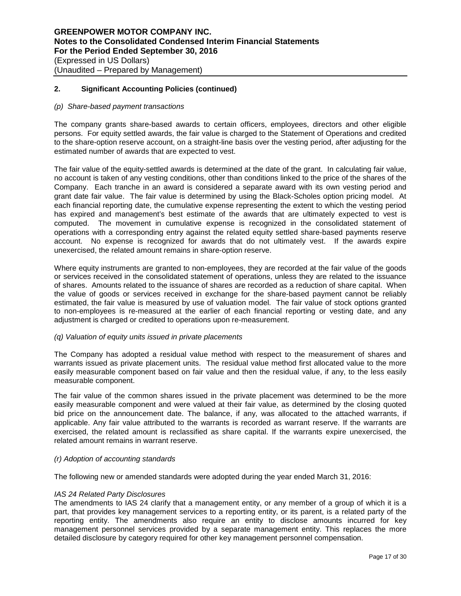#### *(p) Share-based payment transactions*

The company grants share-based awards to certain officers, employees, directors and other eligible persons. For equity settled awards, the fair value is charged to the Statement of Operations and credited to the share-option reserve account, on a straight-line basis over the vesting period, after adjusting for the estimated number of awards that are expected to vest.

The fair value of the equity-settled awards is determined at the date of the grant. In calculating fair value, no account is taken of any vesting conditions, other than conditions linked to the price of the shares of the Company. Each tranche in an award is considered a separate award with its own vesting period and grant date fair value. The fair value is determined by using the Black-Scholes option pricing model. At each financial reporting date, the cumulative expense representing the extent to which the vesting period has expired and management's best estimate of the awards that are ultimately expected to vest is computed. The movement in cumulative expense is recognized in the consolidated statement of operations with a corresponding entry against the related equity settled share-based payments reserve account. No expense is recognized for awards that do not ultimately vest. If the awards expire unexercised, the related amount remains in share-option reserve.

Where equity instruments are granted to non-employees, they are recorded at the fair value of the goods or services received in the consolidated statement of operations, unless they are related to the issuance of shares. Amounts related to the issuance of shares are recorded as a reduction of share capital. When the value of goods or services received in exchange for the share-based payment cannot be reliably estimated, the fair value is measured by use of valuation model. The fair value of stock options granted to non-employees is re-measured at the earlier of each financial reporting or vesting date, and any adjustment is charged or credited to operations upon re-measurement.

# *(q) Valuation of equity units issued in private placements*

The Company has adopted a residual value method with respect to the measurement of shares and warrants issued as private placement units. The residual value method first allocated value to the more easily measurable component based on fair value and then the residual value, if any, to the less easily measurable component.

The fair value of the common shares issued in the private placement was determined to be the more easily measurable component and were valued at their fair value, as determined by the closing quoted bid price on the announcement date. The balance, if any, was allocated to the attached warrants, if applicable. Any fair value attributed to the warrants is recorded as warrant reserve. If the warrants are exercised, the related amount is reclassified as share capital. If the warrants expire unexercised, the related amount remains in warrant reserve.

#### *(r) Adoption of accounting standards*

The following new or amended standards were adopted during the year ended March 31, 2016:

#### *IAS 24 Related Party Disclosures*

The amendments to IAS 24 clarify that a management entity, or any member of a group of which it is a part, that provides key management services to a reporting entity, or its parent, is a related party of the reporting entity. The amendments also require an entity to disclose amounts incurred for key management personnel services provided by a separate management entity. This replaces the more detailed disclosure by category required for other key management personnel compensation.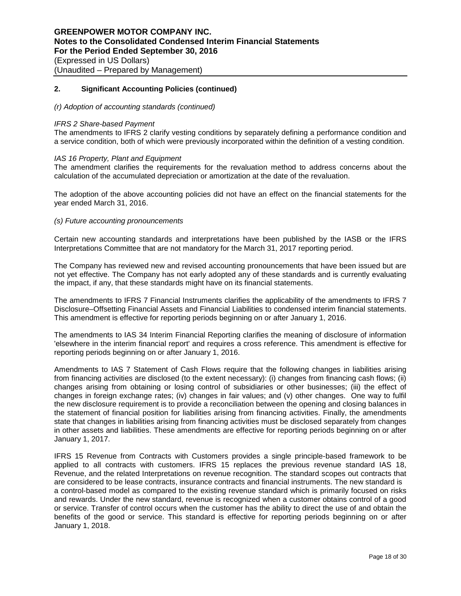#### *(r) Adoption of accounting standards (continued)*

#### *IFRS 2 Share-based Payment*

The amendments to IFRS 2 clarify vesting conditions by separately defining a performance condition and a service condition, both of which were previously incorporated within the definition of a vesting condition.

#### *IAS 16 Property, Plant and Equipment*

The amendment clarifies the requirements for the revaluation method to address concerns about the calculation of the accumulated depreciation or amortization at the date of the revaluation.

The adoption of the above accounting policies did not have an effect on the financial statements for the year ended March 31, 2016.

#### *(s) Future accounting pronouncements*

Certain new accounting standards and interpretations have been published by the IASB or the IFRS Interpretations Committee that are not mandatory for the March 31, 2017 reporting period.

The Company has reviewed new and revised accounting pronouncements that have been issued but are not yet effective. The Company has not early adopted any of these standards and is currently evaluating the impact, if any, that these standards might have on its financial statements.

The amendments to IFRS 7 Financial Instruments clarifies the applicability of the amendments to IFRS 7 Disclosure–Offsetting Financial Assets and Financial Liabilities to condensed interim financial statements. This amendment is effective for reporting periods beginning on or after January 1, 2016.

The amendments to IAS 34 Interim Financial Reporting clarifies the meaning of disclosure of information 'elsewhere in the interim financial report' and requires a cross reference. This amendment is effective for reporting periods beginning on or after January 1, 2016.

Amendments to IAS 7 Statement of Cash Flows require that the following changes in liabilities arising from financing activities are disclosed (to the extent necessary): (i) changes from financing cash flows; (ii) changes arising from obtaining or losing control of subsidiaries or other businesses; (iii) the effect of changes in foreign exchange rates; (iv) changes in fair values; and (v) other changes. One way to fulfil the new disclosure requirement is to provide a reconciliation between the opening and closing balances in the statement of financial position for liabilities arising from financing activities. Finally, the amendments state that changes in liabilities arising from financing activities must be disclosed separately from changes in other assets and liabilities. These amendments are effective for reporting periods beginning on or after January 1, 2017.

IFRS 15 Revenue from Contracts with Customers provides a single principle-based framework to be applied to all contracts with customers. IFRS 15 replaces the previous revenue standard IAS 18, Revenue, and the related Interpretations on revenue recognition. The standard scopes out contracts that are considered to be lease contracts, insurance contracts and financial instruments. The new standard is a control-based model as compared to the existing revenue standard which is primarily focused on risks and rewards. Under the new standard, revenue is recognized when a customer obtains control of a good or service. Transfer of control occurs when the customer has the ability to direct the use of and obtain the benefits of the good or service. This standard is effective for reporting periods beginning on or after January 1, 2018.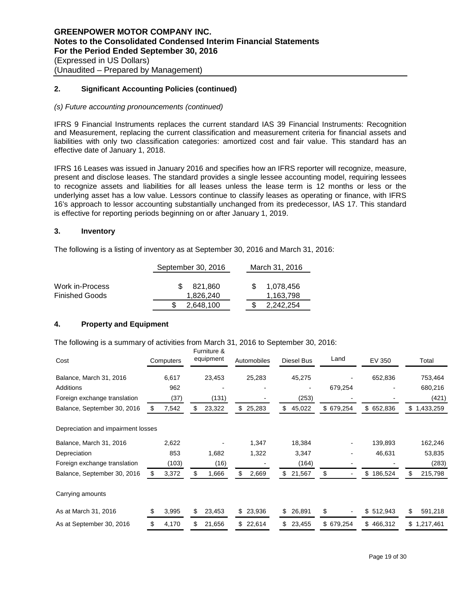#### *(s) Future accounting pronouncements (continued)*

IFRS 9 Financial Instruments replaces the current standard IAS 39 Financial Instruments: Recognition and Measurement, replacing the current classification and measurement criteria for financial assets and liabilities with only two classification categories: amortized cost and fair value. This standard has an effective date of January 1, 2018.

IFRS 16 Leases was issued in January 2016 and specifies how an IFRS reporter will recognize, measure, present and disclose leases. The standard provides a single lessee accounting model, requiring lessees to recognize assets and liabilities for all leases unless the lease term is 12 months or less or the underlying asset has a low value. Lessors continue to classify leases as operating or finance, with IFRS 16's approach to lessor accounting substantially unchanged from its predecessor, IAS 17. This standard is effective for reporting periods beginning on or after January 1, 2019.

# **3. Inventory**

The following is a listing of inventory as at September 30, 2016 and March 31, 2016:

|                                          | September 30, 2016          | March 31, 2016         |
|------------------------------------------|-----------------------------|------------------------|
| Work in-Process<br><b>Finished Goods</b> | 821.860<br>SS.<br>1.826.240 | 1.078.456<br>1.163.798 |
|                                          | 2.648.100                   | 2,242,254              |

# **4. Property and Equipment**

The following is a summary of activities from March 31, 2016 to September 30, 2016:

| Cost                               |    | Computers |    | Furniture &<br>equipment | Automobiles  |     | Diesel Bus | Land                           | EV 350        | Total           |
|------------------------------------|----|-----------|----|--------------------------|--------------|-----|------------|--------------------------------|---------------|-----------------|
| Balance, March 31, 2016            |    | 6,617     |    | 23,453                   | 25,283       |     | 45,275     |                                | 652,836       | 753,464         |
| Additions                          |    | 962       |    |                          |              |     |            | 679,254                        |               | 680,216         |
| Foreign exchange translation       |    | (37)      |    | (131)                    |              |     | (253)      |                                |               | (421)           |
| Balance, September 30, 2016        | æ. | 7,542     | S  | 23,322                   | \$<br>25,283 | \$  | 45,022     | \$679,254                      | \$<br>652,836 | \$<br>1,433,259 |
| Depreciation and impairment losses |    |           |    |                          |              |     |            |                                |               |                 |
| Balance, March 31, 2016            |    | 2,622     |    |                          | 1,347        |     | 18,384     |                                | 139,893       | 162,246         |
| Depreciation                       |    | 853       |    | 1,682                    | 1,322        |     | 3,347      |                                | 46,631        | 53,835          |
| Foreign exchange translation       |    | (103)     |    | (16)                     |              |     | (164)      |                                |               | (283)           |
| Balance, September 30, 2016        | \$ | 3,372     | \$ | 1,666                    | \$<br>2,669  | \$  | 21,567     | \$                             | \$<br>186,524 | 215,798         |
| Carrying amounts                   |    |           |    |                          |              |     |            |                                |               |                 |
| As at March 31, 2016               | \$ | 3,995     |    | 23,453                   | \$<br>23,936 | \$  | 26,891     | \$<br>$\overline{\phantom{a}}$ | \$<br>512,943 | \$<br>591,218   |
| As at September 30, 2016           | \$ | 4,170     |    | 21,656                   | \$<br>22,614 | \$. | 23,455     | \$679,254                      | \$<br>466,312 | \$1,217,461     |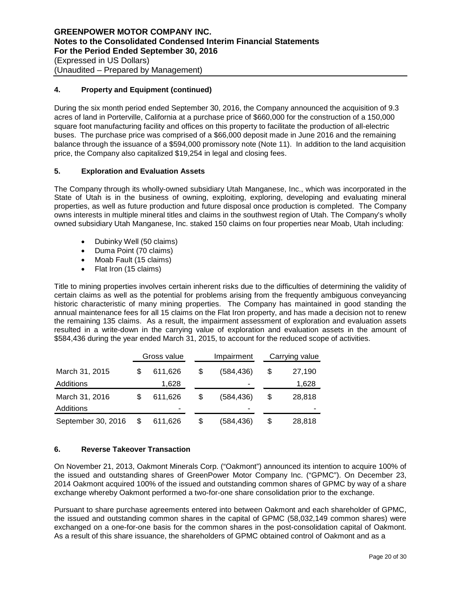# **4. Property and Equipment (continued)**

During the six month period ended September 30, 2016, the Company announced the acquisition of 9.3 acres of land in Porterville, California at a purchase price of \$660,000 for the construction of a 150,000 square foot manufacturing facility and offices on this property to facilitate the production of all-electric buses. The purchase price was comprised of a \$66,000 deposit made in June 2016 and the remaining balance through the issuance of a \$594,000 promissory note (Note 11). In addition to the land acquisition price, the Company also capitalized \$19,254 in legal and closing fees.

# **5. Exploration and Evaluation Assets**

The Company through its wholly-owned subsidiary Utah Manganese, Inc., which was incorporated in the State of Utah is in the business of owning, exploiting, exploring, developing and evaluating mineral properties, as well as future production and future disposal once production is completed. The Company owns interests in multiple mineral titles and claims in the southwest region of Utah. The Company's wholly owned subsidiary Utah Manganese, Inc. staked 150 claims on four properties near Moab, Utah including:

- Dubinky Well (50 claims)
- Duma Point (70 claims)
- Moab Fault (15 claims)
- Flat Iron (15 claims)

Title to mining properties involves certain inherent risks due to the difficulties of determining the validity of certain claims as well as the potential for problems arising from the frequently ambiguous conveyancing historic characteristic of many mining properties. The Company has maintained in good standing the annual maintenance fees for all 15 claims on the Flat Iron property, and has made a decision not to renew the remaining 135 claims. As a result, the impairment assessment of exploration and evaluation assets resulted in a write-down in the carrying value of exploration and evaluation assets in the amount of \$584,436 during the year ended March 31, 2015, to account for the reduced scope of activities.

|                    | Gross value   |    | Impairment | Carrying value |
|--------------------|---------------|----|------------|----------------|
| March 31, 2015     | 611,626       | \$ | (584,436)  | \$<br>27,190   |
| Additions          | 1,628         |    | ۰          | 1,628          |
| March 31, 2016     | 611.626       | \$ | (584.436)  | \$<br>28,818   |
| Additions          | -             |    |            |                |
| September 30, 2016 | \$<br>611,626 | \$ | (584,436)  | \$<br>28,818   |

# **6. Reverse Takeover Transaction**

On November 21, 2013, Oakmont Minerals Corp. ("Oakmont") announced its intention to acquire 100% of the issued and outstanding shares of GreenPower Motor Company Inc. ("GPMC"). On December 23, 2014 Oakmont acquired 100% of the issued and outstanding common shares of GPMC by way of a share exchange whereby Oakmont performed a two-for-one share consolidation prior to the exchange.

Pursuant to share purchase agreements entered into between Oakmont and each shareholder of GPMC, the issued and outstanding common shares in the capital of GPMC (58,032,149 common shares) were exchanged on a one-for-one basis for the common shares in the post-consolidation capital of Oakmont. As a result of this share issuance, the shareholders of GPMC obtained control of Oakmont and as a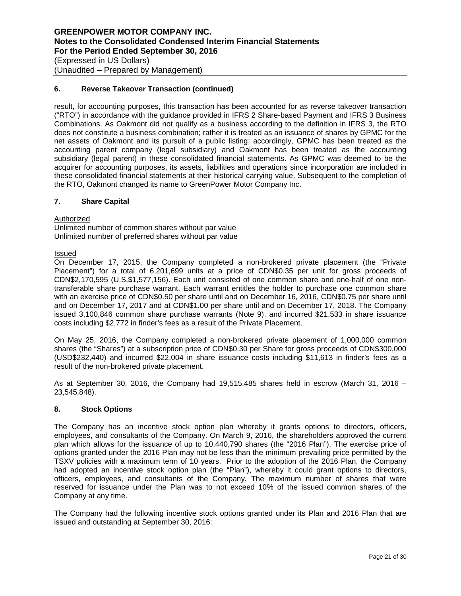(Unaudited – Prepared by Management)

# **6. Reverse Takeover Transaction (continued)**

result, for accounting purposes, this transaction has been accounted for as reverse takeover transaction ("RTO") in accordance with the guidance provided in IFRS 2 Share-based Payment and IFRS 3 Business Combinations. As Oakmont did not qualify as a business according to the definition in IFRS 3, the RTO does not constitute a business combination; rather it is treated as an issuance of shares by GPMC for the net assets of Oakmont and its pursuit of a public listing; accordingly, GPMC has been treated as the accounting parent company (legal subsidiary) and Oakmont has been treated as the accounting subsidiary (legal parent) in these consolidated financial statements. As GPMC was deemed to be the acquirer for accounting purposes, its assets, liabilities and operations since incorporation are included in these consolidated financial statements at their historical carrying value. Subsequent to the completion of the RTO, Oakmont changed its name to GreenPower Motor Company Inc.

#### **7. Share Capital**

**Authorized** 

Unlimited number of common shares without par value Unlimited number of preferred shares without par value

#### Issued

On December 17, 2015, the Company completed a non-brokered private placement (the "Private Placement") for a total of 6,201,699 units at a price of CDN\$0.35 per unit for gross proceeds of CDN\$2,170,595 (U.S.\$1,577,156). Each unit consisted of one common share and one-half of one nontransferable share purchase warrant. Each warrant entitles the holder to purchase one common share with an exercise price of CDN\$0.50 per share until and on December 16, 2016, CDN\$0.75 per share until and on December 17, 2017 and at CDN\$1.00 per share until and on December 17, 2018. The Company issued 3,100,846 common share purchase warrants (Note 9), and incurred \$21,533 in share issuance costs including \$2,772 in finder's fees as a result of the Private Placement.

On May 25, 2016, the Company completed a non-brokered private placement of 1,000,000 common shares (the "Shares") at a subscription price of CDN\$0.30 per Share for gross proceeds of CDN\$300,000 (USD\$232,440) and incurred \$22,004 in share issuance costs including \$11,613 in finder's fees as a result of the non-brokered private placement.

As at September 30, 2016, the Company had 19,515,485 shares held in escrow (March 31, 2016 – 23,545,848).

# **8. Stock Options**

The Company has an incentive stock option plan whereby it grants options to directors, officers, employees, and consultants of the Company. On March 9, 2016, the shareholders approved the current plan which allows for the issuance of up to 10,440,790 shares (the "2016 Plan"). The exercise price of options granted under the 2016 Plan may not be less than the minimum prevailing price permitted by the TSXV policies with a maximum term of 10 years. Prior to the adoption of the 2016 Plan, the Company had adopted an incentive stock option plan (the "Plan"), whereby it could grant options to directors, officers, employees, and consultants of the Company. The maximum number of shares that were reserved for issuance under the Plan was to not exceed 10% of the issued common shares of the Company at any time.

The Company had the following incentive stock options granted under its Plan and 2016 Plan that are issued and outstanding at September 30, 2016: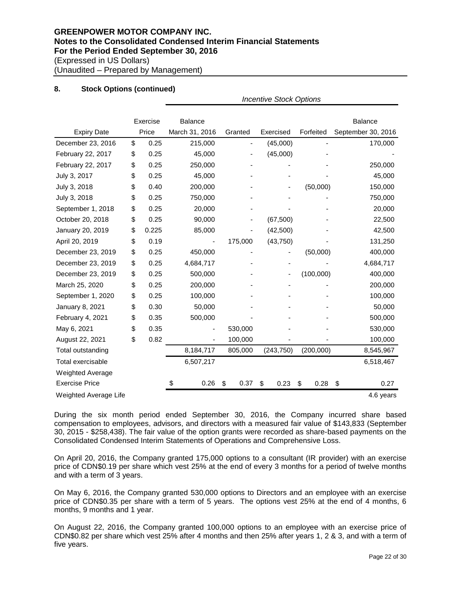# **8. Stock Options (continued)**

|                         |             | <b>Incentive Stock Options</b> |                                         |            |            |                    |  |  |  |  |
|-------------------------|-------------|--------------------------------|-----------------------------------------|------------|------------|--------------------|--|--|--|--|
|                         | Exercise    | <b>Balance</b>                 |                                         |            |            | <b>Balance</b>     |  |  |  |  |
| <b>Expiry Date</b>      | Price       | March 31, 2016                 | Granted                                 | Exercised  | Forfeited  | September 30, 2016 |  |  |  |  |
| December 23, 2016       | \$<br>0.25  | 215,000                        |                                         | (45,000)   |            | 170,000            |  |  |  |  |
| February 22, 2017       | \$<br>0.25  | 45,000                         |                                         | (45,000)   |            |                    |  |  |  |  |
| February 22, 2017       | \$<br>0.25  | 250,000                        |                                         |            |            | 250,000            |  |  |  |  |
| July 3, 2017            | \$<br>0.25  | 45,000                         |                                         |            |            | 45,000             |  |  |  |  |
| July 3, 2018            | \$<br>0.40  | 200,000                        |                                         |            | (50,000)   | 150,000            |  |  |  |  |
| July 3, 2018            | \$<br>0.25  | 750,000                        |                                         |            |            | 750,000            |  |  |  |  |
| September 1, 2018       | \$<br>0.25  | 20,000                         |                                         |            |            | 20,000             |  |  |  |  |
| October 20, 2018        | \$<br>0.25  | 90,000                         |                                         | (67, 500)  |            | 22,500             |  |  |  |  |
| January 20, 2019        | \$<br>0.225 | 85,000                         |                                         | (42, 500)  |            | 42,500             |  |  |  |  |
| April 20, 2019          | \$<br>0.19  |                                | 175,000                                 | (43, 750)  |            | 131,250            |  |  |  |  |
| December 23, 2019       | \$<br>0.25  | 450,000                        |                                         |            | (50,000)   | 400,000            |  |  |  |  |
| December 23, 2019       | \$<br>0.25  | 4,684,717                      |                                         |            |            | 4,684,717          |  |  |  |  |
| December 23, 2019       | \$<br>0.25  | 500,000                        |                                         |            | (100,000)  | 400,000            |  |  |  |  |
| March 25, 2020          | \$<br>0.25  | 200,000                        |                                         |            |            | 200,000            |  |  |  |  |
| September 1, 2020       | \$<br>0.25  | 100,000                        |                                         |            |            | 100,000            |  |  |  |  |
| January 8, 2021         | \$<br>0.30  | 50,000                         |                                         |            |            | 50,000             |  |  |  |  |
| February 4, 2021        | \$<br>0.35  | 500,000                        |                                         |            |            | 500,000            |  |  |  |  |
| May 6, 2021             | \$<br>0.35  |                                | 530,000                                 |            |            | 530,000            |  |  |  |  |
| August 22, 2021         | \$<br>0.82  |                                | 100,000<br>$\qquad \qquad \blacksquare$ |            |            | 100,000            |  |  |  |  |
| Total outstanding       |             | 8,184,717                      | 805,000                                 | (243, 750) | (200,000)  | 8,545,967          |  |  |  |  |
| Total exercisable       |             | 6,507,217                      |                                         |            |            | 6,518,467          |  |  |  |  |
| <b>Weighted Average</b> |             |                                |                                         |            |            |                    |  |  |  |  |
| <b>Exercise Price</b>   |             | 0.26<br>\$                     | 0.37<br>\$                              | \$<br>0.23 | \$<br>0.28 | \$<br>0.27         |  |  |  |  |
| Weighted Average Life   |             |                                |                                         |            |            | 4.6 years          |  |  |  |  |

During the six month period ended September 30, 2016, the Company incurred share based compensation to employees, advisors, and directors with a measured fair value of \$143,833 (September 30, 2015 - \$258,438). The fair value of the option grants were recorded as share-based payments on the Consolidated Condensed Interim Statements of Operations and Comprehensive Loss.

On April 20, 2016, the Company granted 175,000 options to a consultant (IR provider) with an exercise price of CDN\$0.19 per share which vest 25% at the end of every 3 months for a period of twelve months and with a term of 3 years.

On May 6, 2016, the Company granted 530,000 options to Directors and an employee with an exercise price of CDN\$0.35 per share with a term of 5 years. The options vest 25% at the end of 4 months, 6 months, 9 months and 1 year.

On August 22, 2016, the Company granted 100,000 options to an employee with an exercise price of CDN\$0.82 per share which vest 25% after 4 months and then 25% after years 1, 2 & 3, and with a term of five years.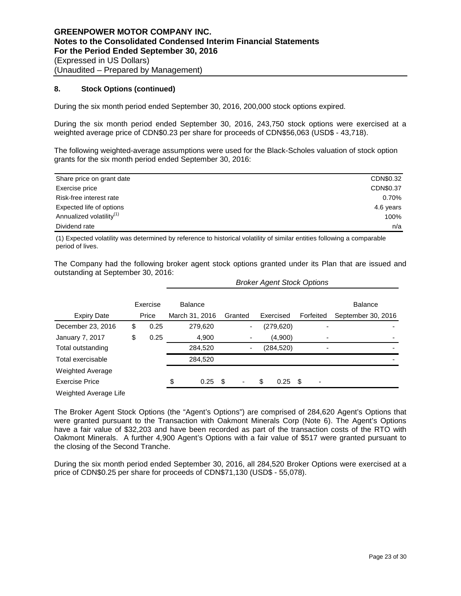# **8. Stock Options (continued)**

During the six month period ended September 30, 2016, 200,000 stock options expired.

During the six month period ended September 30, 2016, 243,750 stock options were exercised at a weighted average price of CDN\$0.23 per share for proceeds of CDN\$56,063 (USD\$ - 43,718).

The following weighted-average assumptions were used for the Black-Scholes valuation of stock option grants for the six month period ended September 30, 2016:

| Share price on grant date            | CDN\$0.32 |
|--------------------------------------|-----------|
| Exercise price                       | CDN\$0.37 |
| Risk-free interest rate              | 0.70%     |
| Expected life of options             | 4.6 years |
| Annualized volatility <sup>(1)</sup> | 100%      |
| Dividend rate                        | n/a       |

(1) Expected volatility was determined by reference to historical volatility of similar entities following a comparable period of lives.

The Company had the following broker agent stock options granted under its Plan that are issued and outstanding at September 30, 2016:

*Broker Agent Stock Options*

|                         | Exercise   |                | <b>Balance</b> |     |                          |    |            |           |                          | <b>Balance</b> |                    |
|-------------------------|------------|----------------|----------------|-----|--------------------------|----|------------|-----------|--------------------------|----------------|--------------------|
| <b>Expiry Date</b>      | Price      | March 31, 2016 |                |     | Granted                  |    | Exercised  | Forfeited |                          |                | September 30, 2016 |
| December 23, 2016       | \$<br>0.25 |                | 279,620        |     | $\overline{\phantom{a}}$ |    | (279, 620) |           | -                        |                |                    |
| <b>January 7, 2017</b>  | \$<br>0.25 |                | 4,900          |     |                          |    | (4,900)    |           |                          |                |                    |
| Total outstanding       |            |                | 284,520        |     | $\overline{\phantom{a}}$ |    | (284, 520) |           |                          |                |                    |
| Total exercisable       |            |                | 284,520        |     |                          |    |            |           |                          |                |                    |
| <b>Weighted Average</b> |            |                |                |     |                          |    |            |           |                          |                |                    |
| <b>Exercise Price</b>   |            | \$             | 0.25           | -\$ |                          | \$ | 0.25       | - \$      | $\overline{\phantom{0}}$ |                |                    |
| Weighted Average Life   |            |                |                |     |                          |    |            |           |                          |                |                    |

The Broker Agent Stock Options (the "Agent's Options") are comprised of 284,620 Agent's Options that were granted pursuant to the Transaction with Oakmont Minerals Corp (Note 6). The Agent's Options have a fair value of \$32,203 and have been recorded as part of the transaction costs of the RTO with Oakmont Minerals. A further 4,900 Agent's Options with a fair value of \$517 were granted pursuant to the closing of the Second Tranche.

During the six month period ended September 30, 2016, all 284,520 Broker Options were exercised at a price of CDN\$0.25 per share for proceeds of CDN\$71,130 (USD\$ - 55,078).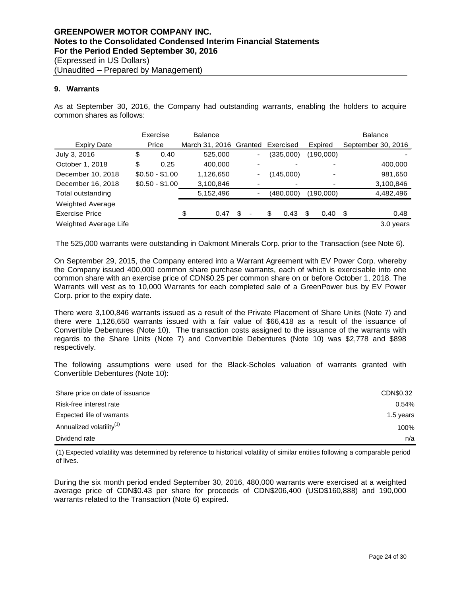## **9. Warrants**

As at September 30, 2016, the Company had outstanding warrants, enabling the holders to acquire common shares as follows:

|                              | Exercise        |      | <b>Balance</b>         |    |   |    |           |  | <b>Balance</b> |   |                    |  |
|------------------------------|-----------------|------|------------------------|----|---|----|-----------|--|----------------|---|--------------------|--|
| <b>Expiry Date</b>           | Price           |      | March 31, 2016 Granted |    |   |    | Exercised |  | Expired        |   | September 30, 2016 |  |
| July 3, 2016                 | \$              | 0.40 | 525,000                |    |   |    | (335,000) |  | (190,000)      |   |                    |  |
| October 1, 2018              | \$              | 0.25 | 400,000                |    |   |    |           |  |                |   | 400,000            |  |
| December 10, 2018            | $$0.50 - $1.00$ |      | 1,126,650              |    | ۰ |    | (145,000) |  |                |   | 981,650            |  |
| December 16, 2018            | $$0.50 - $1.00$ |      | 3,100,846              |    |   |    |           |  |                |   | 3,100,846          |  |
| Total outstanding            |                 |      | 5,152,496              |    |   |    | (480,000) |  | (190,000)      |   | 4,482,496          |  |
| <b>Weighted Average</b>      |                 |      |                        |    |   |    |           |  |                |   |                    |  |
| <b>Exercise Price</b>        |                 |      | \$<br>0.47             | \$ | ٠ | \$ | 0.43      |  | 0.40           | S | 0.48               |  |
| <b>Weighted Average Life</b> |                 |      |                        |    |   |    |           |  |                |   | 3.0 years          |  |

The 525,000 warrants were outstanding in Oakmont Minerals Corp. prior to the Transaction (see Note 6).

On September 29, 2015, the Company entered into a Warrant Agreement with EV Power Corp. whereby the Company issued 400,000 common share purchase warrants, each of which is exercisable into one common share with an exercise price of CDN\$0.25 per common share on or before October 1, 2018. The Warrants will vest as to 10,000 Warrants for each completed sale of a GreenPower bus by EV Power Corp. prior to the expiry date.

There were 3,100,846 warrants issued as a result of the Private Placement of Share Units (Note 7) and there were 1,126,650 warrants issued with a fair value of \$66,418 as a result of the issuance of Convertible Debentures (Note 10). The transaction costs assigned to the issuance of the warrants with regards to the Share Units (Note 7) and Convertible Debentures (Note 10) was \$2,778 and \$898 respectively.

The following assumptions were used for the Black-Scholes valuation of warrants granted with Convertible Debentures (Note 10):

| Share price on date of issuance      | CDN\$0.32 |
|--------------------------------------|-----------|
| Risk-free interest rate              | 0.54%     |
| Expected life of warrants            | 1.5 years |
| Annualized volatility <sup>(1)</sup> | 100%      |
| Dividend rate                        | n/a       |

(1) Expected volatility was determined by reference to historical volatility of similar entities following a comparable period of lives.

During the six month period ended September 30, 2016, 480,000 warrants were exercised at a weighted average price of CDN\$0.43 per share for proceeds of CDN\$206,400 (USD\$160,888) and 190,000 warrants related to the Transaction (Note 6) expired.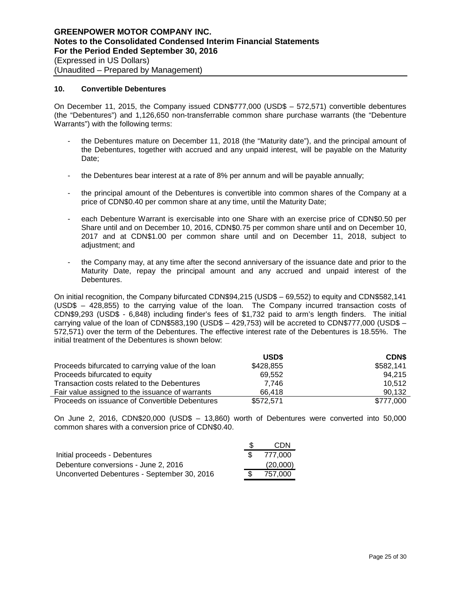#### **10. Convertible Debentures**

On December 11, 2015, the Company issued CDN\$777,000 (USD\$ – 572,571) convertible debentures (the "Debentures") and 1,126,650 non-transferrable common share purchase warrants (the "Debenture Warrants") with the following terms:

- the Debentures mature on December 11, 2018 (the "Maturity date"), and the principal amount of the Debentures, together with accrued and any unpaid interest, will be payable on the Maturity Date;
- the Debentures bear interest at a rate of 8% per annum and will be payable annually;
- the principal amount of the Debentures is convertible into common shares of the Company at a price of CDN\$0.40 per common share at any time, until the Maturity Date;
- each Debenture Warrant is exercisable into one Share with an exercise price of CDN\$0.50 per Share until and on December 10, 2016, CDN\$0.75 per common share until and on December 10, 2017 and at CDN\$1.00 per common share until and on December 11, 2018, subject to adjustment; and
- the Company may, at any time after the second anniversary of the issuance date and prior to the Maturity Date, repay the principal amount and any accrued and unpaid interest of the Debentures.

On initial recognition, the Company bifurcated CDN\$94,215 (USD\$ – 69,552) to equity and CDN\$582,141 (USD\$ – 428,855) to the carrying value of the loan. The Company incurred transaction costs of CDN\$9,293 (USD\$ - 6,848) including finder's fees of \$1,732 paid to arm's length finders. The initial carrying value of the loan of CDN\$583,190 (USD\$ – 429,753) will be accreted to CDN\$777,000 (USD\$ – 572,571) over the term of the Debentures. The effective interest rate of the Debentures is 18.55%. The initial treatment of the Debentures is shown below:

|                                                   | USD\$     | <b>CDNS</b> |
|---------------------------------------------------|-----------|-------------|
| Proceeds bifurcated to carrying value of the loan | \$428,855 | \$582,141   |
| Proceeds bifurcated to equity                     | 69.552    | 94.215      |
| Transaction costs related to the Debentures       | 7.746     | 10.512      |
| Fair value assigned to the issuance of warrants   | 66.418    | 90.132      |
| Proceeds on issuance of Convertible Debentures    | \$572,571 | \$777,000   |

On June 2, 2016, CDN\$20,000 (USD\$ – 13,860) worth of Debentures were converted into 50,000 common shares with a conversion price of CDN\$0.40.

|                                             | CDN      |
|---------------------------------------------|----------|
| Initial proceeds - Debentures               | 777.000  |
| Debenture conversions - June 2, 2016        | (20,000) |
| Unconverted Debentures - September 30, 2016 | 757.000  |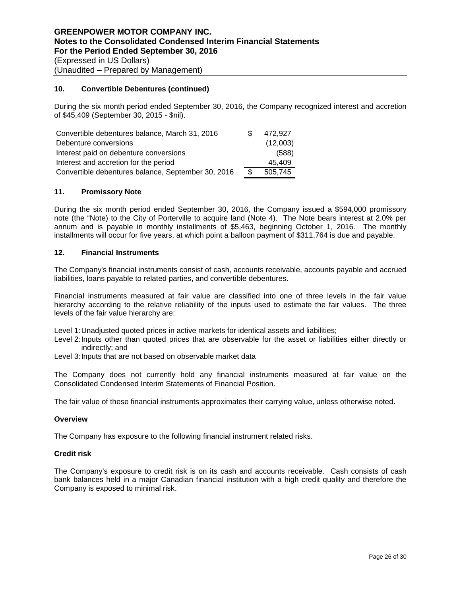## **10. Convertible Debentures (continued)**

During the six month period ended September 30, 2016, the Company recognized interest and accretion of \$45,409 (September 30, 2015 - \$nil).

| Convertible debentures balance, March 31, 2016     | \$. | 472.927  |
|----------------------------------------------------|-----|----------|
| Debenture conversions                              |     | (12,003) |
| Interest paid on debenture conversions             |     | (588)    |
| Interest and accretion for the period              |     | 45.409   |
| Convertible debentures balance, September 30, 2016 | -S  | 505.745  |

# **11. Promissory Note**

During the six month period ended September 30, 2016, the Company issued a \$594,000 promissory note (the "Note) to the City of Porterville to acquire land (Note 4). The Note bears interest at 2.0% per annum and is payable in monthly installments of \$5,463, beginning October 1, 2016. The monthly installments will occur for five years, at which point a balloon payment of \$311,764 is due and payable.

#### **12. Financial Instruments**

The Company's financial instruments consist of cash, accounts receivable, accounts payable and accrued liabilities, loans payable to related parties, and convertible debentures.

Financial instruments measured at fair value are classified into one of three levels in the fair value hierarchy according to the relative reliability of the inputs used to estimate the fair values. The three levels of the fair value hierarchy are:

Level 1:Unadjusted quoted prices in active markets for identical assets and liabilities;

Level 2:Inputs other than quoted prices that are observable for the asset or liabilities either directly or indirectly; and

Level 3: Inputs that are not based on observable market data

The Company does not currently hold any financial instruments measured at fair value on the Consolidated Condensed Interim Statements of Financial Position.

The fair value of these financial instruments approximates their carrying value, unless otherwise noted.

#### **Overview**

The Company has exposure to the following financial instrument related risks.

#### **Credit risk**

The Company's exposure to credit risk is on its cash and accounts receivable. Cash consists of cash bank balances held in a major Canadian financial institution with a high credit quality and therefore the Company is exposed to minimal risk.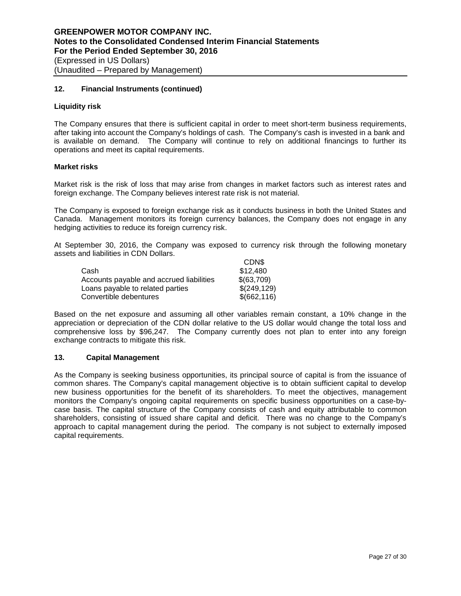# **12. Financial Instruments (continued)**

## **Liquidity risk**

The Company ensures that there is sufficient capital in order to meet short-term business requirements, after taking into account the Company's holdings of cash. The Company's cash is invested in a bank and is available on demand. The Company will continue to rely on additional financings to further its operations and meet its capital requirements.

#### **Market risks**

Market risk is the risk of loss that may arise from changes in market factors such as interest rates and foreign exchange. The Company believes interest rate risk is not material.

The Company is exposed to foreign exchange risk as it conducts business in both the United States and Canada. Management monitors its foreign currency balances, the Company does not engage in any hedging activities to reduce its foreign currency risk.

At September 30, 2016, the Company was exposed to currency risk through the following monetary assets and liabilities in CDN Dollars.  $CDN$ 

|                                          | <b>ULIND</b> |
|------------------------------------------|--------------|
| Cash                                     | \$12,480     |
| Accounts payable and accrued liabilities | \$(63,709)   |
| Loans payable to related parties         | \$(249, 129) |
| Convertible debentures                   | \$(662, 116) |

Based on the net exposure and assuming all other variables remain constant, a 10% change in the appreciation or depreciation of the CDN dollar relative to the US dollar would change the total loss and comprehensive loss by \$96,247. The Company currently does not plan to enter into any foreign exchange contracts to mitigate this risk.

#### **13. Capital Management**

As the Company is seeking business opportunities, its principal source of capital is from the issuance of common shares. The Company's capital management objective is to obtain sufficient capital to develop new business opportunities for the benefit of its shareholders. To meet the objectives, management monitors the Company's ongoing capital requirements on specific business opportunities on a case-bycase basis. The capital structure of the Company consists of cash and equity attributable to common shareholders, consisting of issued share capital and deficit. There was no change to the Company's approach to capital management during the period. The company is not subject to externally imposed capital requirements.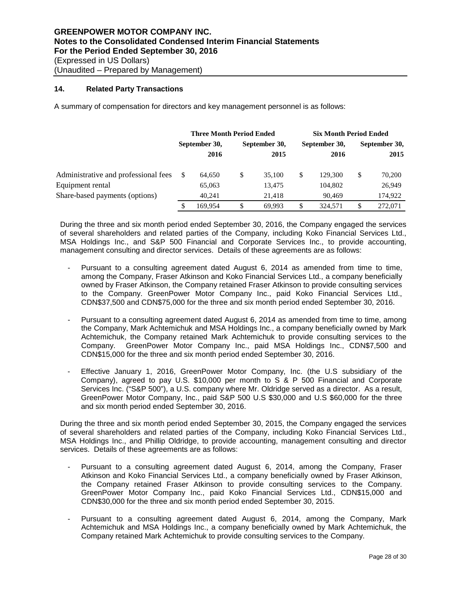# **14. Related Party Transactions**

A summary of compensation for directors and key management personnel is as follows:

|                                      | <b>Three Month Period Ended</b> |         |               |        | <b>Six Month Period Ended</b> |               |               |         |  |
|--------------------------------------|---------------------------------|---------|---------------|--------|-------------------------------|---------------|---------------|---------|--|
|                                      | September 30,                   |         | September 30, |        |                               | September 30, | September 30, |         |  |
|                                      |                                 | 2016    |               | 2015   |                               | 2016          |               | 2015    |  |
| Administrative and professional fees |                                 | 64.650  | \$            | 35,100 | \$                            | 129,300       | \$            | 70,200  |  |
| Equipment rental                     |                                 | 65,063  |               | 13,475 |                               | 104,802       |               | 26,949  |  |
| Share-based payments (options)       |                                 | 40.241  |               | 21.418 |                               | 90.469        |               | 174,922 |  |
|                                      |                                 | 169.954 | \$            | 69.993 | \$                            | 324,571       | \$            | 272,071 |  |

During the three and six month period ended September 30, 2016, the Company engaged the services of several shareholders and related parties of the Company, including Koko Financial Services Ltd., MSA Holdings Inc., and S&P 500 Financial and Corporate Services Inc., to provide accounting, management consulting and director services. Details of these agreements are as follows:

- Pursuant to a consulting agreement dated August 6, 2014 as amended from time to time, among the Company, Fraser Atkinson and Koko Financial Services Ltd., a company beneficially owned by Fraser Atkinson, the Company retained Fraser Atkinson to provide consulting services to the Company. GreenPower Motor Company Inc., paid Koko Financial Services Ltd., CDN\$37,500 and CDN\$75,000 for the three and six month period ended September 30, 2016.
- Pursuant to a consulting agreement dated August 6, 2014 as amended from time to time, among the Company, Mark Achtemichuk and MSA Holdings Inc., a company beneficially owned by Mark Achtemichuk, the Company retained Mark Achtemichuk to provide consulting services to the Company. GreenPower Motor Company Inc., paid MSA Holdings Inc., CDN\$7,500 and CDN\$15,000 for the three and six month period ended September 30, 2016.
- Effective January 1, 2016, GreenPower Motor Company, Inc. (the U.S subsidiary of the Company), agreed to pay U.S. \$10,000 per month to S & P 500 Financial and Corporate Services Inc. ("S&P 500"), a U.S. company where Mr. Oldridge served as a director. As a result, GreenPower Motor Company, Inc., paid S&P 500 U.S \$30,000 and U.S \$60,000 for the three and six month period ended September 30, 2016.

During the three and six month period ended September 30, 2015, the Company engaged the services of several shareholders and related parties of the Company, including Koko Financial Services Ltd., MSA Holdings Inc., and Phillip Oldridge, to provide accounting, management consulting and director services. Details of these agreements are as follows:

- Pursuant to a consulting agreement dated August 6, 2014, among the Company, Fraser Atkinson and Koko Financial Services Ltd., a company beneficially owned by Fraser Atkinson, the Company retained Fraser Atkinson to provide consulting services to the Company. GreenPower Motor Company Inc., paid Koko Financial Services Ltd., CDN\$15,000 and CDN\$30,000 for the three and six month period ended September 30, 2015.
- Pursuant to a consulting agreement dated August 6, 2014, among the Company, Mark Achtemichuk and MSA Holdings Inc., a company beneficially owned by Mark Achtemichuk, the Company retained Mark Achtemichuk to provide consulting services to the Company.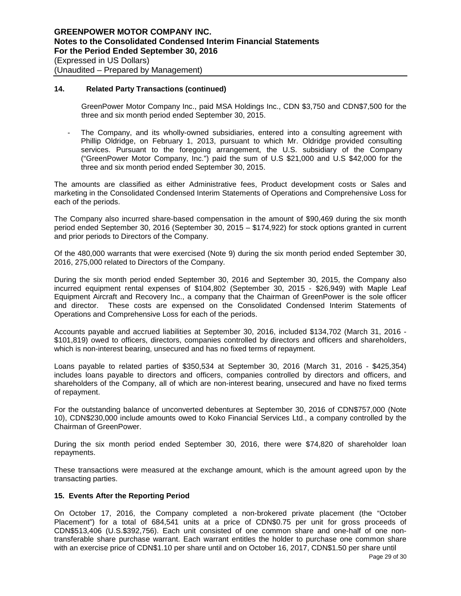## **14. Related Party Transactions (continued)**

GreenPower Motor Company Inc., paid MSA Holdings Inc., CDN \$3,750 and CDN\$7,500 for the three and six month period ended September 30, 2015.

The Company, and its wholly-owned subsidiaries, entered into a consulting agreement with Phillip Oldridge, on February 1, 2013, pursuant to which Mr. Oldridge provided consulting services. Pursuant to the foregoing arrangement, the U.S. subsidiary of the Company ("GreenPower Motor Company, Inc.") paid the sum of U.S \$21,000 and U.S \$42,000 for the three and six month period ended September 30, 2015.

The amounts are classified as either Administrative fees, Product development costs or Sales and marketing in the Consolidated Condensed Interim Statements of Operations and Comprehensive Loss for each of the periods.

The Company also incurred share-based compensation in the amount of \$90,469 during the six month period ended September 30, 2016 (September 30, 2015 – \$174,922) for stock options granted in current and prior periods to Directors of the Company.

Of the 480,000 warrants that were exercised (Note 9) during the six month period ended September 30, 2016, 275,000 related to Directors of the Company.

During the six month period ended September 30, 2016 and September 30, 2015, the Company also incurred equipment rental expenses of \$104,802 (September 30, 2015 - \$26,949) with Maple Leaf Equipment Aircraft and Recovery Inc., a company that the Chairman of GreenPower is the sole officer and director. These costs are expensed on the Consolidated Condensed Interim Statements of Operations and Comprehensive Loss for each of the periods.

Accounts payable and accrued liabilities at September 30, 2016, included \$134,702 (March 31, 2016 - \$101,819) owed to officers, directors, companies controlled by directors and officers and shareholders, which is non-interest bearing, unsecured and has no fixed terms of repayment.

Loans payable to related parties of \$350,534 at September 30, 2016 (March 31, 2016 - \$425,354) includes loans payable to directors and officers, companies controlled by directors and officers, and shareholders of the Company, all of which are non-interest bearing, unsecured and have no fixed terms of repayment.

For the outstanding balance of unconverted debentures at September 30, 2016 of CDN\$757,000 (Note 10), CDN\$230,000 include amounts owed to Koko Financial Services Ltd., a company controlled by the Chairman of GreenPower.

During the six month period ended September 30, 2016, there were \$74,820 of shareholder loan repayments.

These transactions were measured at the exchange amount, which is the amount agreed upon by the transacting parties.

# **15. Events After the Reporting Period**

On October 17, 2016, the Company completed a non-brokered private placement (the "October Placement") for a total of 684,541 units at a price of CDN\$0.75 per unit for gross proceeds of CDN\$513,406 (U.S.\$392,756). Each unit consisted of one common share and one-half of one nontransferable share purchase warrant. Each warrant entitles the holder to purchase one common share with an exercise price of CDN\$1.10 per share until and on October 16, 2017, CDN\$1.50 per share until